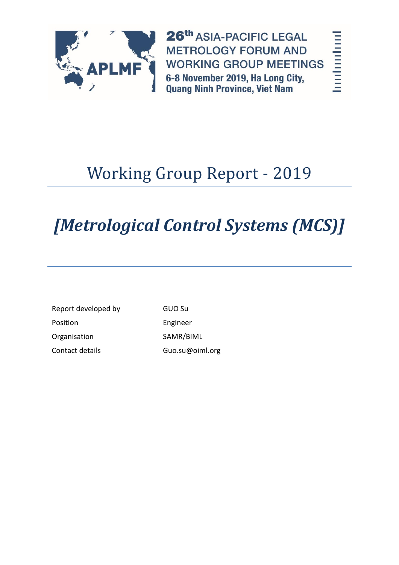

26th ASIA-PACIFIC LEGAL **METROLOGY FORUM AND WORKING GROUP MEETINGS** 6-8 November 2019, Ha Long City, **Quang Ninh Province, Viet Nam** 

# hardmahard

# Working Group Report - 2019

# *[Metrological Control Systems (MCS)]*

| Report developed by | GUO Su          |
|---------------------|-----------------|
| Position            | Engineer        |
| Organisation        | SAMR/BIML       |
| Contact details     | Guo.su@oiml.org |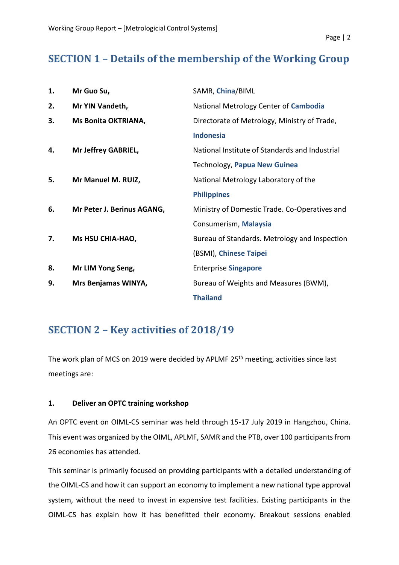# **SECTION 1 – Details of the membership of the Working Group**

| 1. | Mr Guo Su,                 | SAMR, China/BIML                               |
|----|----------------------------|------------------------------------------------|
| 2. | Mr YIN Vandeth,            | National Metrology Center of Cambodia          |
| 3. | Ms Bonita OKTRIANA,        | Directorate of Metrology, Ministry of Trade,   |
|    |                            | <b>Indonesia</b>                               |
| 4. | Mr Jeffrey GABRIEL,        | National Institute of Standards and Industrial |
|    |                            | <b>Technology, Papua New Guinea</b>            |
| 5. | Mr Manuel M. RUIZ,         | National Metrology Laboratory of the           |
|    |                            | <b>Philippines</b>                             |
| 6. | Mr Peter J. Berinus AGANG, | Ministry of Domestic Trade. Co-Operatives and  |
|    |                            | Consumerism, Malaysia                          |
| 7. | Ms HSU CHIA-HAO,           | Bureau of Standards. Metrology and Inspection  |
|    |                            | (BSMI), Chinese Taipei                         |
| 8. | Mr LIM Yong Seng,          | <b>Enterprise Singapore</b>                    |
| 9. | Mrs Benjamas WINYA,        | Bureau of Weights and Measures (BWM),          |
|    |                            | <b>Thailand</b>                                |

## **SECTION 2 – Key activities of 2018/19**

The work plan of MCS on 2019 were decided by APLMF 25<sup>th</sup> meeting, activities since last meetings are:

#### **1. Deliver an OPTC training workshop**

An OPTC event on OIML-CS seminar was held through 15-17 July 2019 in Hangzhou, China. This event was organized by the OIML, APLMF, SAMR and the PTB, over 100 participants from 26 economies has attended.

This seminar is primarily focused on providing participants with a detailed understanding of the OIML-CS and how it can support an economy to implement a new national type approval system, without the need to invest in expensive test facilities. Existing participants in the OIML-CS has explain how it has benefitted their economy. Breakout sessions enabled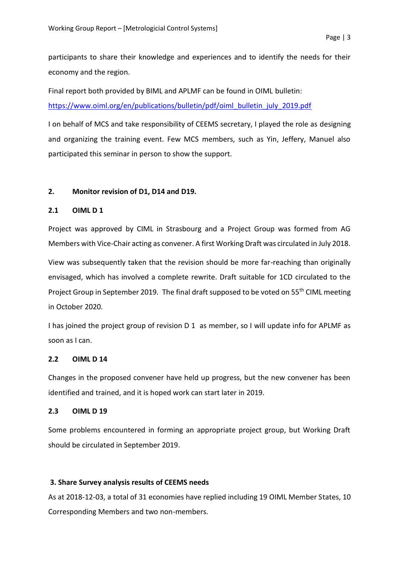participants to share their knowledge and experiences and to identify the needs for their economy and the region.

Final report both provided by BIML and APLMF can be found in OIML bulletin: [https://www.oiml.org/en/publications/bulletin/pdf/oiml\\_bulletin\\_july\\_2019.pdf](https://www.oiml.org/en/publications/bulletin/pdf/oiml_bulletin_july_2019.pdf)

I on behalf of MCS and take responsibility of CEEMS secretary, I played the role as designing and organizing the training event. Few MCS members, such as Yin, Jeffery, Manuel also participated this seminar in person to show the support.

#### **2. Monitor revision of D1, D14 and D19.**

#### **2.1 OIML D 1**

Project was approved by CIML in Strasbourg and a Project Group was formed from AG Members with Vice-Chair acting as convener. A first Working Draft was circulated in July 2018.

View was subsequently taken that the revision should be more far-reaching than originally envisaged, which has involved a complete rewrite. Draft suitable for 1CD circulated to the Project Group in September 2019. The final draft supposed to be voted on 55<sup>th</sup> CIML meeting in October 2020.

I has joined the project group of revision D 1 as member, so I will update info for APLMF as soon as I can.

#### **2.2 OIML D 14**

Changes in the proposed convener have held up progress, but the new convener has been identified and trained, and it is hoped work can start later in 2019.

#### **2.3 OIML D 19**

Some problems encountered in forming an appropriate project group, but Working Draft should be circulated in September 2019.

#### **3. Share Survey analysis results of CEEMS needs**

As at 2018-12-03, a total of 31 economies have replied including 19 OIML Member States, 10 Corresponding Members and two non-members.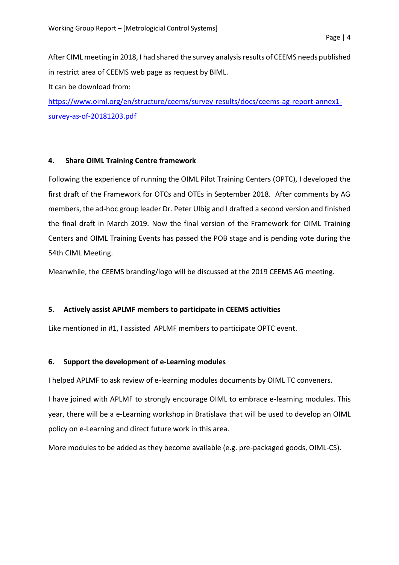After CIML meeting in 2018, I had shared the survey analysis results of CEEMS needs published in restrict area of CEEMS web page as request by BIML.

It can be download from:

[https://www.oiml.org/en/structure/ceems/survey-results/docs/ceems-ag-report-annex1](https://www.oiml.org/en/structure/ceems/survey-results/docs/ceems-ag-report-annex1-survey-as-of-20181203.pdf) [survey-as-of-20181203.pdf](https://www.oiml.org/en/structure/ceems/survey-results/docs/ceems-ag-report-annex1-survey-as-of-20181203.pdf)

#### **4. Share OIML Training Centre framework**

Following the experience of running the OIML Pilot Training Centers (OPTC), I developed the first draft of the Framework for OTCs and OTEs in September 2018. After comments by AG members, the ad-hoc group leader Dr. Peter Ulbig and I drafted a second version and finished the final draft in March 2019. Now the final version of the Framework for OIML Training Centers and OIML Training Events has passed the POB stage and is pending vote during the 54th CIML Meeting.

Meanwhile, the CEEMS branding/logo will be discussed at the 2019 CEEMS AG meeting.

#### **5. Actively assist APLMF members to participate in CEEMS activities**

Like mentioned in #1, I assisted APLMF members to participate OPTC event.

#### **6. Support the development of e-Learning modules**

I helped APLMF to ask review of e-learning modules documents by OIML TC conveners.

I have joined with APLMF to strongly encourage OIML to embrace e-learning modules. This year, there will be a e-Learning workshop in Bratislava that will be used to develop an OIML policy on e-Learning and direct future work in this area.

More modules to be added as they become available (e.g. pre-packaged goods, OIML-CS).